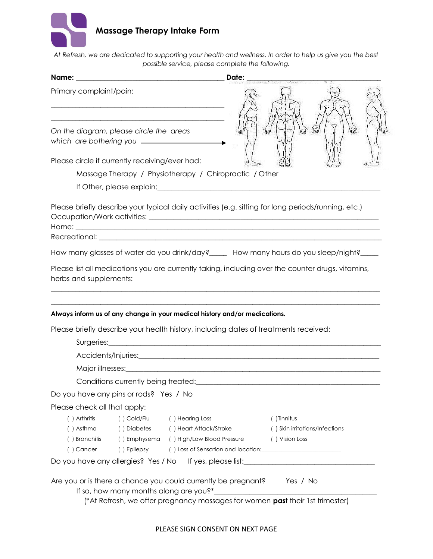

*At Refresh, we are dedicated to supporting your health and wellness. In order to help us give you the best possible service, please complete the following.*

|                                                |                             |                                                                                                                                                                    | Date: |                                |    |  |
|------------------------------------------------|-----------------------------|--------------------------------------------------------------------------------------------------------------------------------------------------------------------|-------|--------------------------------|----|--|
| Primary complaint/pain:                        |                             |                                                                                                                                                                    |       |                                |    |  |
| On the diagram, please circle the areas        |                             |                                                                                                                                                                    |       |                                | Im |  |
| Please circle if currently receiving/ever had: |                             |                                                                                                                                                                    |       |                                |    |  |
|                                                |                             | Massage Therapy / Physiotherapy / Chiropractic / Other                                                                                                             |       |                                |    |  |
|                                                |                             |                                                                                                                                                                    |       |                                |    |  |
|                                                |                             | Please briefly describe your typical daily activities (e.g. sitting for long periods/running, etc.)                                                                |       |                                |    |  |
|                                                |                             |                                                                                                                                                                    |       |                                |    |  |
|                                                |                             | How many glasses of water do you drink/day? _____ How many hours do you sleep/night?                                                                               |       |                                |    |  |
|                                                |                             | Please list all medications you are currently taking, including over the counter drugs, vitamins,                                                                  |       |                                |    |  |
| herbs and supplements:                         |                             | Always inform us of any change in your medical history and/or medications.<br>Please briefly describe your health history, including dates of treatments received: |       |                                |    |  |
|                                                |                             |                                                                                                                                                                    |       |                                |    |  |
|                                                |                             |                                                                                                                                                                    |       |                                |    |  |
|                                                |                             |                                                                                                                                                                    |       |                                |    |  |
| Do you have any pins or rods? Yes / No         |                             |                                                                                                                                                                    |       |                                |    |  |
| Please check all that apply:                   |                             |                                                                                                                                                                    |       |                                |    |  |
| () Arthritis                                   | $( )$ Cold/Flu              | () Hearing Loss                                                                                                                                                    |       | () Tinnitus                    |    |  |
| () Asthma                                      | ( ) Diabetes                | () Heart Attack/Stroke                                                                                                                                             |       | () Skin irritations/Infections |    |  |
| () Bronchitis<br>() Cancer                     | () Emphysema<br>() Epilepsy | () High/Low Blood Pressure<br>() Loss of Sensation and location: [100] Loss of Sensation and location:                                                             |       | () Vision Loss                 |    |  |
|                                                |                             | Do you have any allergies? Yes / No lfyes, please list:_________________________                                                                                   |       |                                |    |  |